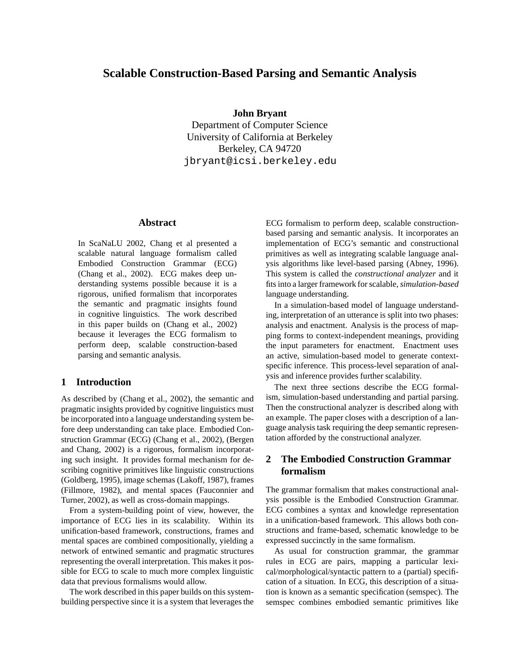# **Scalable Construction-Based Parsing and Semantic Analysis**

## **John Bryant**

Department of Computer Science University of California at Berkeley Berkeley, CA 94720 jbryant@icsi.berkeley.edu

## **Abstract**

In ScaNaLU 2002, Chang et al presented a scalable natural language formalism called Embodied Construction Grammar (ECG) (Chang et al., 2002). ECG makes deep understanding systems possible because it is a rigorous, unified formalism that incorporates the semantic and pragmatic insights found in cognitive linguistics. The work described in this paper builds on (Chang et al., 2002) because it leverages the ECG formalism to perform deep, scalable construction-based parsing and semantic analysis.

# **1 Introduction**

As described by (Chang et al., 2002), the semantic and pragmatic insights provided by cognitive linguistics must be incorporated into a language understanding system before deep understanding can take place. Embodied Construction Grammar (ECG) (Chang et al., 2002), (Bergen and Chang, 2002) is a rigorous, formalism incorporating such insight. It provides formal mechanism for describing cognitive primitives like linguistic constructions (Goldberg, 1995), image schemas (Lakoff, 1987), frames (Fillmore, 1982), and mental spaces (Fauconnier and Turner, 2002), as well as cross-domain mappings.

From a system-building point of view, however, the importance of ECG lies in its scalability. Within its unification-based framework, constructions, frames and mental spaces are combined compositionally, yielding a network of entwined semantic and pragmatic structures representing the overall interpretation. This makes it possible for ECG to scale to much more complex linguistic data that previous formalisms would allow.

The work described in this paper builds on this systembuilding perspective since it is a system that leverages the ECG formalism to perform deep, scalable constructionbased parsing and semantic analysis. It incorporates an implementation of ECG's semantic and constructional primitives as well as integrating scalable language analysis algorithms like level-based parsing (Abney, 1996). This system is called the *constructional analyzer* and it fits into a larger framework for scalable,*simulation-based* language understanding.

In a simulation-based model of language understanding, interpretation of an utterance is split into two phases: analysis and enactment. Analysis is the process of mapping forms to context-independent meanings, providing the input parameters for enactment. Enactment uses an active, simulation-based model to generate contextspecific inference. This process-level separation of analysis and inference provides further scalability.

The next three sections describe the ECG formalism, simulation-based understanding and partial parsing. Then the constructional analyzer is described along with an example. The paper closes with a description of a language analysis task requiring the deep semantic representation afforded by the constructional analyzer.

# **2 The Embodied Construction Grammar formalism**

The grammar formalism that makes constructional analysis possible is the Embodied Construction Grammar. ECG combines a syntax and knowledge representation in a unification-based framework. This allows both constructions and frame-based, schematic knowledge to be expressed succinctly in the same formalism.

As usual for construction grammar, the grammar rules in ECG are pairs, mapping a particular lexical/morphological/syntactic pattern to a (partial) specification of a situation. In ECG, this description of a situation is known as a semantic specification (semspec). The semspec combines embodied semantic primitives like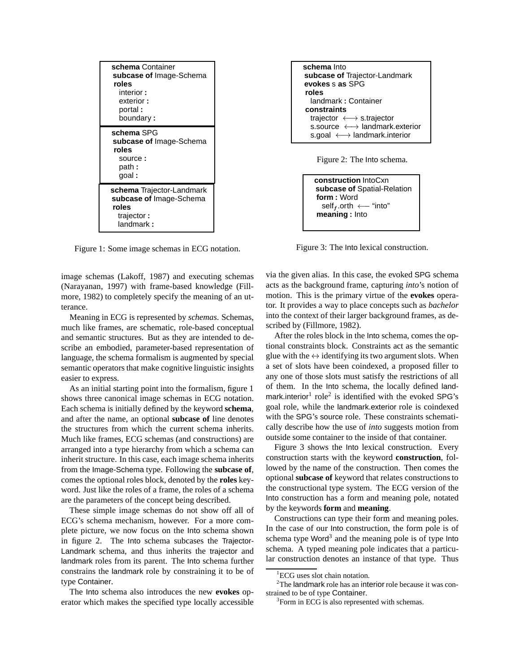| schema Container<br>subcase of Image-Schema<br>roles<br>interior :<br>exterior:<br>portal:<br>boundary: |
|---------------------------------------------------------------------------------------------------------|
| schema SPG<br>subcase of Image-Schema<br>roles<br>source:<br>path :<br>qoal:                            |
| schema Trajector-Landmark<br>subcase of Image-Schema<br>roles<br>trajector:<br>landmark:                |

Figure 1: Some image schemas in ECG notation.

image schemas (Lakoff, 1987) and executing schemas (Narayanan, 1997) with frame-based knowledge (Fillmore, 1982) to completely specify the meaning of an utterance.

Meaning in ECG is represented by *schemas*. Schemas, much like frames, are schematic, role-based conceptual and semantic structures. But as they are intended to describe an embodied, parameter-based representation of language, the schema formalism is augmented by special semantic operators that make cognitive linguistic insights easier to express.

As an initial starting point into the formalism, figure 1 shows three canonical image schemas in ECG notation. Each schema is initially defined by the keyword **schema**, and after the name, an optional **subcase of** line denotes the structures from which the current schema inherits. Much like frames, ECG schemas (and constructions) are arranged into a type hierarchy from which a schema can inherit structure. In this case, each image schema inherits from the Image-Schema type. Following the **subcase of**, comes the optional roles block, denoted by the **roles** keyword. Just like the roles of a frame, the roles of a schema are the parameters of the concept being described.

These simple image schemas do not show off all of ECG's schema mechanism, however. For a more complete picture, we now focus on the Into schema shown in figure 2. The Into schema subcases the Trajector-Landmark schema, and thus inherits the trajector and landmark roles from its parent. The Into schema further constrains the landmark role by constraining it to be of type Container.

The Into schema also introduces the new **evokes** operator which makes the specified type locally accessible



Figure 2: The Into schema.

```
construction IntoCxn
subcase of Spatial-Relation
form : Word
  self<sub>f</sub>.orth \leftarrow "into"
meaning : Into
```
Figure 3: The Into lexical construction.

via the given alias. In this case, the evoked SPG schema acts as the background frame, capturing *into*'s notion of motion. This is the primary virtue of the **evokes** operator. It provides a way to place concepts such as *bachelor* into the context of their larger background frames, as described by (Fillmore, 1982).

After the roles block in the Into schema, comes the optional constraints block. Constraints act as the semantic glue with the  $\leftrightarrow$  identifying its two argument slots. When a set of slots have been coindexed, a proposed filler to any one of those slots must satisfy the restrictions of all of them. In the Into schema, the locally defined landmark.interior<sup>1</sup> role<sup>2</sup> is identified with the evoked SPG's goal role, while the landmark.exterior role is coindexed with the SPG's source role. These constraints schematically describe how the use of *into* suggests motion from outside some container to the inside of that container.

Figure 3 shows the Into lexical construction. Every construction starts with the keyword **construction**, followed by the name of the construction. Then comes the optional **subcase of** keyword that relates constructions to the constructional type system. The ECG version of the Into construction has a form and meaning pole, notated by the keywords **form** and **meaning**.

Constructions can type their form and meaning poles. In the case of our Into construction, the form pole is of schema type Word<sup>3</sup> and the meaning pole is of type Into schema. A typed meaning pole indicates that a particular construction denotes an instance of that type. Thus

<sup>&</sup>lt;sup>1</sup>ECG uses slot chain notation.

 $2$ The landmark role has an interior role because it was constrained to be of type Container.

<sup>&</sup>lt;sup>3</sup>Form in ECG is also represented with schemas.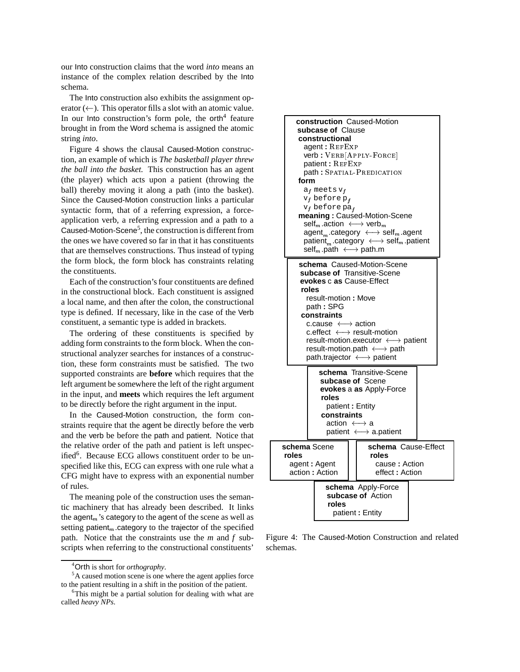our Into construction claims that the word *into* means an instance of the complex relation described by the Into schema.

The Into construction also exhibits the assignment operator  $(\leftarrow)$ . This operator fills a slot with an atomic value. In our Into construction's form pole, the orth<sup>4</sup> feature brought in from the Word schema is assigned the atomic string *into*.

Figure 4 shows the clausal Caused-Motion construction, an example of which is *The basketball player threw the ball into the basket.* This construction has an agent (the player) which acts upon a patient (throwing the ball) thereby moving it along a path (into the basket). Since the Caused-Motion construction links a particular syntactic form, that of a referring expression, a forceapplication verb, a referring expression and a path to a Caused-Motion-Scene<sup>5</sup>, the construction is different from the ones we have covered so far in that it has constituents that are themselves constructions. Thus instead of typing the form block, the form block has constraints relating the constituents.

Each of the construction's four constituents are defined in the constructional block. Each constituent is assigned a local name, and then after the colon, the constructional type is defined. If necessary, like in the case of the Verb constituent, a semantic type is added in brackets.

The ordering of these constituents is specified by adding form constraints to the form block. When the constructional analyzer searches for instances of a construction, these form constraints must be satisfied. The two supported constraints are **before** which requires that the left argument be somewhere the left of the right argument in the input, and **meets** which requires the left argument to be directly before the right argument in the input.

In the Caused-Motion construction, the form constraints require that the agent be directly before the verb and the verb be before the path and patient. Notice that the relative order of the path and patient is left unspecified<sup>6</sup>. Because ECG allows constituent order to be unspecified like this, ECG can express with one rule what a CFG might have to express with an exponential number of rules.

The meaning pole of the construction uses the semantic machinery that has already been described. It links the agent<sub>m</sub>'s category to the agent of the scene as well as setting patient<sub>m</sub>.category to the trajector of the specified path. Notice that the constraints use the *m* and *f* subscripts when referring to the constructional constituents'



Figure 4: The Caused-Motion Construction and related schemas.

<sup>4</sup>Orth is short for *orthography*.

<sup>5</sup>A caused motion scene is one where the agent applies force to the patient resulting in a shift in the position of the patient.

<sup>&</sup>lt;sup>6</sup>This might be a partial solution for dealing with what are called *heavy NPs*.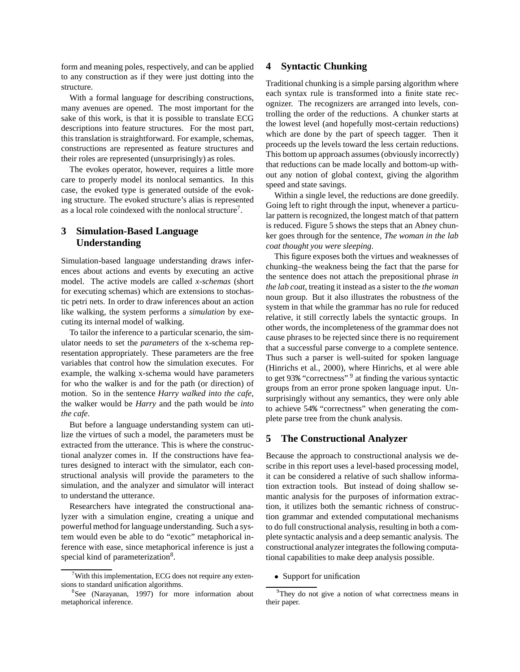form and meaning poles, respectively, and can be applied to any construction as if they were just dotting into the structure.

With a formal language for describing constructions, many avenues are opened. The most important for the sake of this work, is that it is possible to translate ECG descriptions into feature structures. For the most part, this translation is straightforward. For example, schemas, constructions are represented as feature structures and their roles are represented (unsurprisingly) as roles.

The evokes operator, however, requires a little more care to properly model its nonlocal semantics. In this case, the evoked type is generated outside of the evoking structure. The evoked structure's alias is represented as a local role coindexed with the nonlocal structure<sup>7</sup>.

# **3 Simulation-Based Language Understanding**

Simulation-based language understanding draws inferences about actions and events by executing an active model. The active models are called *x-schemas* (short for executing schemas) which are extensions to stochastic petri nets. In order to draw inferences about an action like walking, the system performs a *simulation* by executing its internal model of walking.

To tailor the inference to a particular scenario, the simulator needs to set the *parameters* of the x-schema representation appropriately. These parameters are the free variables that control how the simulation executes. For example, the walking x-schema would have parameters for who the walker is and for the path (or direction) of motion. So in the sentence *Harry walked into the cafe*, the walker would be *Harry* and the path would be *into the cafe*.

But before a language understanding system can utilize the virtues of such a model, the parameters must be extracted from the utterance. This is where the constructional analyzer comes in. If the constructions have features designed to interact with the simulator, each constructional analysis will provide the parameters to the simulation, and the analyzer and simulator will interact to understand the utterance.

Researchers have integrated the constructional analyzer with a simulation engine, creating a unique and powerful method for language understanding. Such a system would even be able to do "exotic" metaphorical inference with ease, since metaphorical inference is just a special kind of parameterization<sup>8</sup>.

## **4 Syntactic Chunking**

Traditional chunking is a simple parsing algorithm where each syntax rule is transformed into a finite state recognizer. The recognizers are arranged into levels, controlling the order of the reductions. A chunker starts at the lowest level (and hopefully most-certain reductions) which are done by the part of speech tagger. Then it proceeds up the levels toward the less certain reductions. This bottom up approach assumes (obviously incorrectly) that reductions can be made locally and bottom-up without any notion of global context, giving the algorithm speed and state savings.

Within a single level, the reductions are done greedily. Going left to right through the input, whenever a particular pattern is recognized, the longest match of that pattern is reduced. Figure 5 shows the steps that an Abney chunker goes through for the sentence, *The woman in the lab coat thought you were sleeping*.

This figure exposes both the virtues and weaknesses of chunking–the weakness being the fact that the parse for the sentence does not attach the prepositional phrase *in the lab coat*, treating it instead as a sister to the *the woman* noun group. But it also illustrates the robustness of the system in that while the grammar has no rule for reduced relative, it still correctly labels the syntactic groups. In other words, the incompleteness of the grammar does not cause phrases to be rejected since there is no requirement that a successful parse converge to a complete sentence. Thus such a parser is well-suited for spoken language (Hinrichs et al., 2000), where Hinrichs, et al were able to get 93% "correctness" <sup>9</sup> at finding the various syntactic groups from an error prone spoken language input. Unsurprisingly without any semantics, they were only able to achieve 54% "correctness" when generating the complete parse tree from the chunk analysis.

## **5 The Constructional Analyzer**

Because the approach to constructional analysis we describe in this report uses a level-based processing model, it can be considered a relative of such shallow information extraction tools. But instead of doing shallow semantic analysis for the purposes of information extraction, it utilizes both the semantic richness of construction grammar and extended computational mechanisms to do full constructional analysis, resulting in both a complete syntactic analysis and a deep semantic analysis. The constructional analyzer integrates the following computational capabilities to make deep analysis possible.

• Support for unification

 $7$ With this implementation, ECG does not require any extensions to standard unification algorithms.

<sup>8</sup> See (Narayanan, 1997) for more information about metaphorical inference.

<sup>&</sup>lt;sup>9</sup>They do not give a notion of what correctness means in their paper.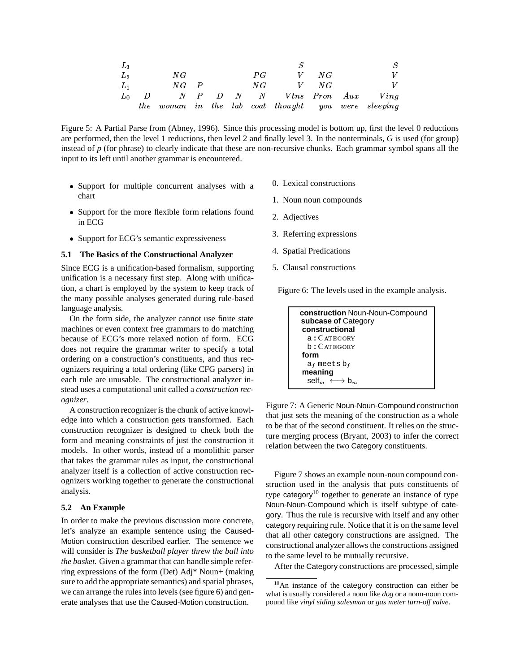| $L_3$          |     |          |  |    |    |                                                 |
|----------------|-----|----------|--|----|----|-------------------------------------------------|
| L <sub>2</sub> |     | NG       |  | PG | NG |                                                 |
| $L_1$          |     | $NG$ $P$ |  | NG | NG |                                                 |
|                | - D |          |  |    |    | N P D N N Vtns Pron Aux Ving                    |
|                | the |          |  |    |    | woman in the lab coat thought you were sleeping |

Figure 5: A Partial Parse from (Abney, 1996). Since this processing model is bottom up, first the level 0 reductions are performed, then the level 1 reductions, then level 2 and finally level 3. In the nonterminals, *G* is used (for group) instead of  $p$  (for phrase) to clearly indicate that these are non-recursive chunks. Each grammar symbol spans all the input to its left until another grammar is encountered.

- Support for multiple concurrent analyses with a chart
- Support for the more flexible form relations found in ECG
- Support for ECG's semantic expressiveness

#### **5.1 The Basics of the Constructional Analyzer**

Since ECG is a unification-based formalism, supporting unification is a necessary first step. Along with unification, a chart is employed by the system to keep track of the many possible analyses generated during rule-based language analysis.

On the form side, the analyzer cannot use finite state machines or even context free grammars to do matching because of ECG's more relaxed notion of form. ECG does not require the grammar writer to specify a total ordering on a construction's constituents, and thus recognizers requiring a total ordering (like CFG parsers) in each rule are unusable. The constructional analyzer instead uses a computational unit called a *construction recognizer*.

A construction recognizer is the chunk of active knowledge into which a construction gets transformed. Each construction recognizer is designed to check both the form and meaning constraints of just the construction it models. In other words, instead of a monolithic parser that takes the grammar rules as input, the constructional analyzer itself is a collection of active construction recognizers working together to generate the constructional analysis.

### **5.2 An Example**

In order to make the previous discussion more concrete, let's analyze an example sentence using the Caused-Motion construction described earlier. The sentence we will consider is *The basketball player threw the ball into the basket.* Given a grammar that can handle simple referring expressions of the form (Det) Adj\* Noun+ (making sure to add the appropriate semantics) and spatial phrases, we can arrange the rules into levels (see figure 6) and generate analyses that use the Caused-Motion construction.

- 0. Lexical constructions
- 1. Noun noun compounds
- 2. Adjectives
- 3. Referring expressions
- 4. Spatial Predications
- 5. Clausal constructions

Figure 6: The levels used in the example analysis.

```
construction Noun-Noun-Compound
subcase of Category
constructional
  a: CATEGORY
  b: CATEGORY
form
  a_f meets b_fmeaning
  \text{self}_m \leftrightarrow \text{b}_m
```
Figure 7: A Generic Noun-Noun-Compound construction that just sets the meaning of the construction as a whole to be that of the second constituent. It relies on the structure merging process (Bryant, 2003) to infer the correct relation between the two Category constituents.

Figure 7 shows an example noun-noun compound construction used in the analysis that puts constituents of type category<sup>10</sup> together to generate an instance of type Noun-Noun-Compound which is itself subtype of category. Thus the rule is recursive with itself and any other category requiring rule. Notice that it is on the same level that all other category constructions are assigned. The constructional analyzer allows the constructions assigned to the same level to be mutually recursive.

After the Category constructions are processed, simple

<sup>&</sup>lt;sup>10</sup>An instance of the category construction can either be what is usually considered a noun like *dog* or a noun-noun compound like *vinyl siding salesman* or *gas meter turn-off valve*.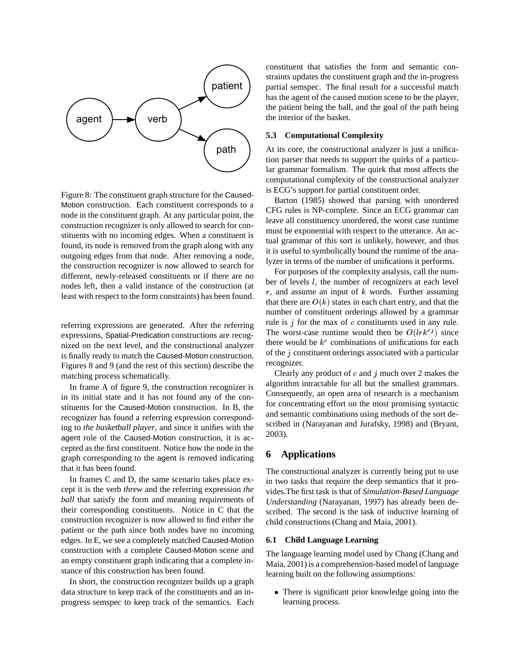

Figure 8: The constituent graph structure for the Caused-Motion construction. Each constituent corresponds to a node in the constituent graph. At any particular point, the construction recognizer is only allowed to search for constituents with no incoming edges. When a constituent is found, its node is removed from the graph along with any outgoing edges from that node. After removing a node, the construction recognizer is now allowed to search for different, newly-released constituents or if there are no nodes left, then a valid instance of the construction (at least with respect to the form constraints) has been found.

referring expressions are generated. After the referring expressions, Spatial-Predication constructions are recognized on the next level, and the constructional analyzer is finally ready to match the Caused-Motion construction. Figures 8 and 9 (and the rest of this section) describe the matching process schematically.

In frame A of figure 9, the construction recognizer is in its initial state and it has not found any of the constituents for the Caused-Motion construction. In B, the recognizer has found a referring expression corresponding to *the basketball player*, and since it unifies with the agent role of the Caused-Motion construction, it is accepted as the first constituent. Notice how the node in the graph corresponding to the agent is removed indicating that it has been found.

In frames C and D, the same scenario takes place except it is the verb *threw* and the referring expression *the ball* that satisfy the form and meaning requirements of their corresponding constituents. Notice in C that the construction recognizer is now allowed to find either the patient or the path since both nodes have no incoming edges. In E, we see a completely matched Caused-Motion construction with a complete Caused-Motion scene and an empty constituent graph indicating that a complete instance of this construction has been found.

In short, the construction recognizer builds up a graph data structure to keep track of the constituents and an inprogress semspec to keep track of the semantics. Each constituent that satisfies the form and semantic constraints updates the constituent graph and the in-progress partial semspec. The final result for a successful match has the agent of the caused motion scene to be the player, the patient being the ball, and the goal of the path being the interior of the basket.

### **5.3 Computational Complexity**

At its core, the constructional analyzer is just a unification parser that needs to support the quirks of a particular grammar formalism. The quirk that most affects the computational complexity of the constructional analyzer is ECG's support for partial constituent order.

Barton (1985) showed that parsing with unordered CFG rules is NP-complete. Since an ECG grammar can leave all constituency unordered, the worst case runtime must be exponential with respect to the utterance. An actual grammar of this sort is unlikely, however, and thus it is useful to symbolically bound the runtime of the analyzer in terms of the number of unifications it performs.

For purposes of the complexity analysis, call the number of levels l, the number of recognizers at each level  $r$ , and assume an input of  $k$  words. Further assuming that there are  $O(k)$  states in each chart entry, and that the number of constituent orderings allowed by a grammar rule is  $j$  for the max of  $c$  constituents used in any rule. The worst-case runtime would then be  $O(lrk^{c_j})$  since there would be  $k^c$  combinations of unifications for each of the j constituent orderings associated with a particular recognizer.

Clearly any product of  $c$  and  $j$  much over 2 makes the algorithm intractable for all but the smallest grammars. Consequently, an open area of research is a mechanism for concentrating effort on the most promising syntactic and semantic combinations using methods of the sort described in (Narayanan and Jurafsky, 1998) and (Bryant, 2003).

### **6 Applications**

The constructional analyzer is currently being put to use in two tasks that require the deep semantics that it provides.The first task is that of *Simulation-Based Language Understanding* (Narayanan, 1997) has already been described. The second is the task of inductive learning of child constructions (Chang and Maia, 2001).

### **6.1 Child Language Learning**

The language learning model used by Chang (Chang and Maia, 2001) is a comprehension-based model of language learning built on the following assumptions:

 There is significant prior knowledge going into the learning process.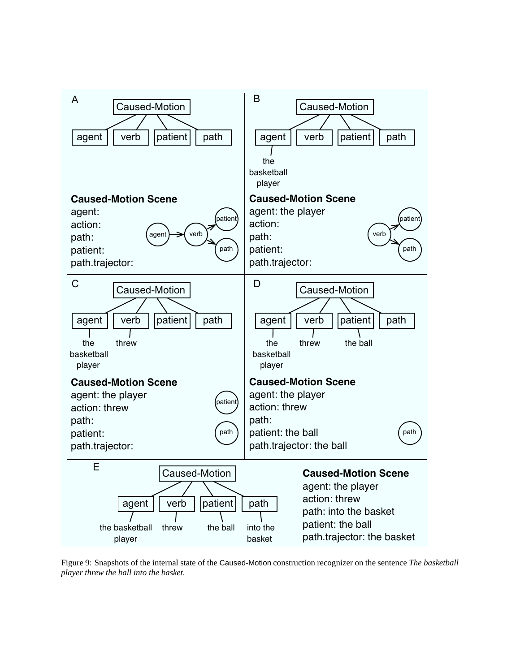

Figure 9: Snapshots of the internal state of the Caused-Motion construction recognizer on the sentence *The basketball player threw the ball into the basket*.